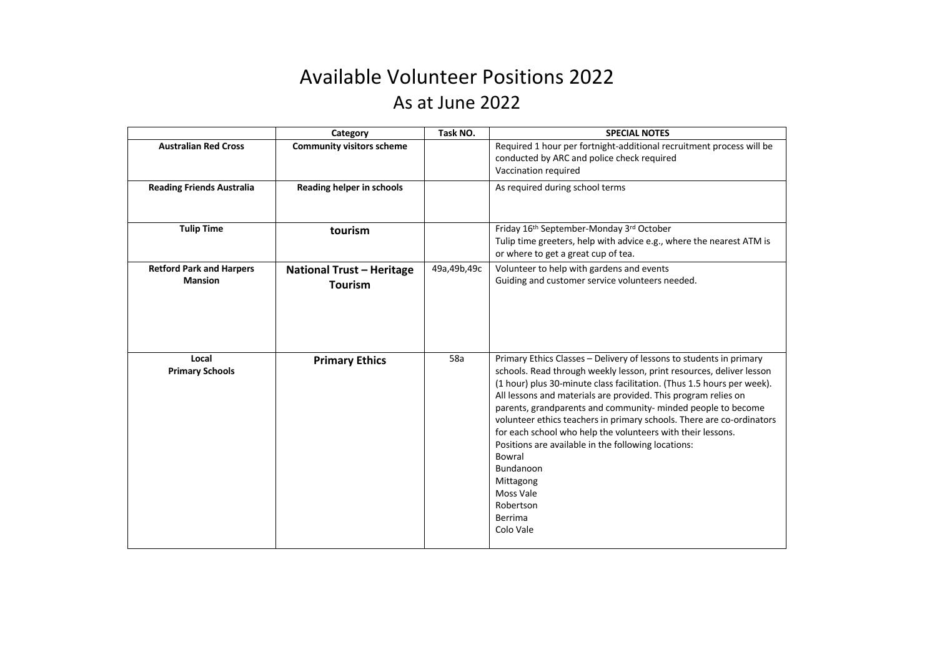## Available Volunteer Positions 2022 As at June 2022

|                                                   | Category                                           | Task NO.      | <b>SPECIAL NOTES</b>                                                                                                                                                                                                                                                                                                                                                                                                                                                                                                                                                                                                                         |
|---------------------------------------------------|----------------------------------------------------|---------------|----------------------------------------------------------------------------------------------------------------------------------------------------------------------------------------------------------------------------------------------------------------------------------------------------------------------------------------------------------------------------------------------------------------------------------------------------------------------------------------------------------------------------------------------------------------------------------------------------------------------------------------------|
| <b>Australian Red Cross</b>                       | <b>Community visitors scheme</b>                   |               | Required 1 hour per fortnight-additional recruitment process will be<br>conducted by ARC and police check required<br>Vaccination required                                                                                                                                                                                                                                                                                                                                                                                                                                                                                                   |
| <b>Reading Friends Australia</b>                  | Reading helper in schools                          |               | As required during school terms                                                                                                                                                                                                                                                                                                                                                                                                                                                                                                                                                                                                              |
| <b>Tulip Time</b>                                 | tourism                                            |               | Friday 16th September-Monday 3rd October<br>Tulip time greeters, help with advice e.g., where the nearest ATM is<br>or where to get a great cup of tea.                                                                                                                                                                                                                                                                                                                                                                                                                                                                                      |
| <b>Retford Park and Harpers</b><br><b>Mansion</b> | <b>National Trust - Heritage</b><br><b>Tourism</b> | 49a, 49b, 49c | Volunteer to help with gardens and events<br>Guiding and customer service volunteers needed.                                                                                                                                                                                                                                                                                                                                                                                                                                                                                                                                                 |
| Local<br><b>Primary Schools</b>                   | <b>Primary Ethics</b>                              | 58a           | Primary Ethics Classes - Delivery of lessons to students in primary<br>schools. Read through weekly lesson, print resources, deliver lesson<br>(1 hour) plus 30-minute class facilitation. (Thus 1.5 hours per week).<br>All lessons and materials are provided. This program relies on<br>parents, grandparents and community- minded people to become<br>volunteer ethics teachers in primary schools. There are co-ordinators<br>for each school who help the volunteers with their lessons.<br>Positions are available in the following locations:<br>Bowral<br>Bundanoon<br>Mittagong<br>Moss Vale<br>Robertson<br>Berrima<br>Colo Vale |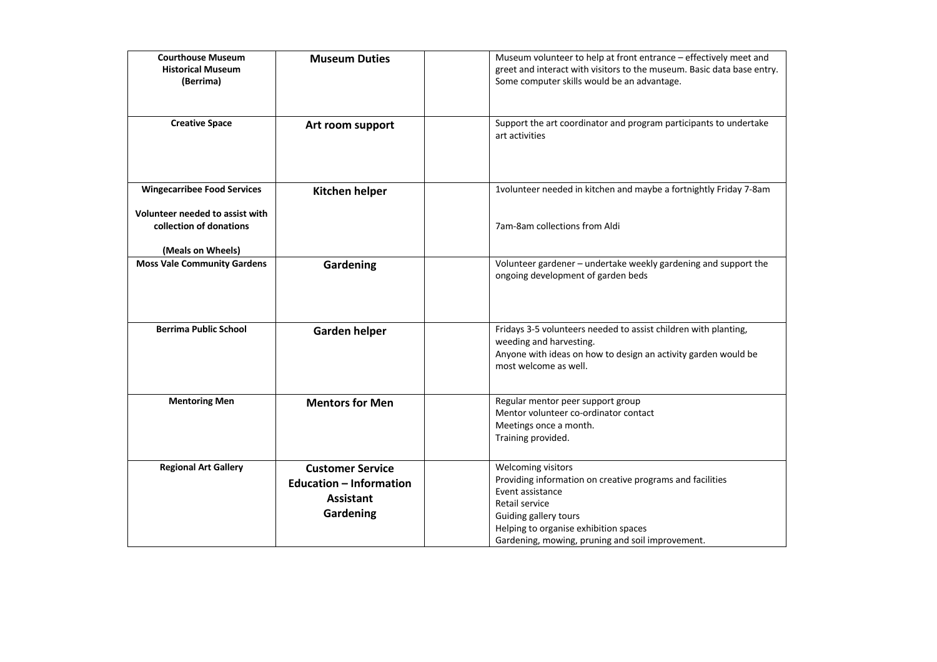| <b>Courthouse Museum</b><br><b>Historical Museum</b><br>(Berrima)                                                     | <b>Museum Duties</b>                                                                       | Museum volunteer to help at front entrance - effectively meet and<br>greet and interact with visitors to the museum. Basic data base entry.<br>Some computer skills would be an advantage.                                                  |
|-----------------------------------------------------------------------------------------------------------------------|--------------------------------------------------------------------------------------------|---------------------------------------------------------------------------------------------------------------------------------------------------------------------------------------------------------------------------------------------|
| <b>Creative Space</b>                                                                                                 | Art room support                                                                           | Support the art coordinator and program participants to undertake<br>art activities                                                                                                                                                         |
| <b>Wingecarribee Food Services</b><br>Volunteer needed to assist with<br>collection of donations<br>(Meals on Wheels) | Kitchen helper                                                                             | 1volunteer needed in kitchen and maybe a fortnightly Friday 7-8am<br>7am-8am collections from Aldi                                                                                                                                          |
| <b>Moss Vale Community Gardens</b>                                                                                    | Gardening                                                                                  | Volunteer gardener - undertake weekly gardening and support the<br>ongoing development of garden beds                                                                                                                                       |
| <b>Berrima Public School</b>                                                                                          | <b>Garden helper</b>                                                                       | Fridays 3-5 volunteers needed to assist children with planting,<br>weeding and harvesting.<br>Anyone with ideas on how to design an activity garden would be<br>most welcome as well.                                                       |
| <b>Mentoring Men</b>                                                                                                  | <b>Mentors for Men</b>                                                                     | Regular mentor peer support group<br>Mentor volunteer co-ordinator contact<br>Meetings once a month.<br>Training provided.                                                                                                                  |
| <b>Regional Art Gallery</b>                                                                                           | <b>Customer Service</b><br><b>Education - Information</b><br><b>Assistant</b><br>Gardening | Welcoming visitors<br>Providing information on creative programs and facilities<br>Event assistance<br>Retail service<br>Guiding gallery tours<br>Helping to organise exhibition spaces<br>Gardening, mowing, pruning and soil improvement. |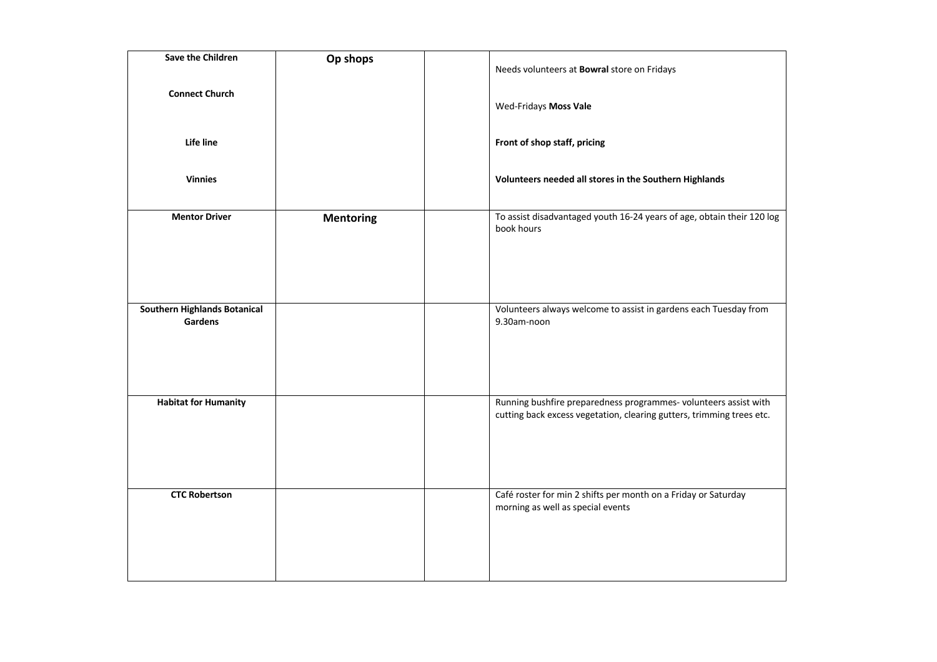| Save the Children                       | Op shops         | Needs volunteers at <b>Bowral</b> store on Fridays                                                                                       |
|-----------------------------------------|------------------|------------------------------------------------------------------------------------------------------------------------------------------|
| <b>Connect Church</b>                   |                  | Wed-Fridays Moss Vale                                                                                                                    |
| Life line                               |                  | Front of shop staff, pricing                                                                                                             |
| <b>Vinnies</b>                          |                  | Volunteers needed all stores in the Southern Highlands                                                                                   |
| <b>Mentor Driver</b>                    | <b>Mentoring</b> | To assist disadvantaged youth 16-24 years of age, obtain their 120 log<br>book hours                                                     |
| Southern Highlands Botanical<br>Gardens |                  | Volunteers always welcome to assist in gardens each Tuesday from<br>9.30am-noon                                                          |
| <b>Habitat for Humanity</b>             |                  | Running bushfire preparedness programmes-volunteers assist with<br>cutting back excess vegetation, clearing gutters, trimming trees etc. |
| <b>CTC Robertson</b>                    |                  | Café roster for min 2 shifts per month on a Friday or Saturday<br>morning as well as special events                                      |